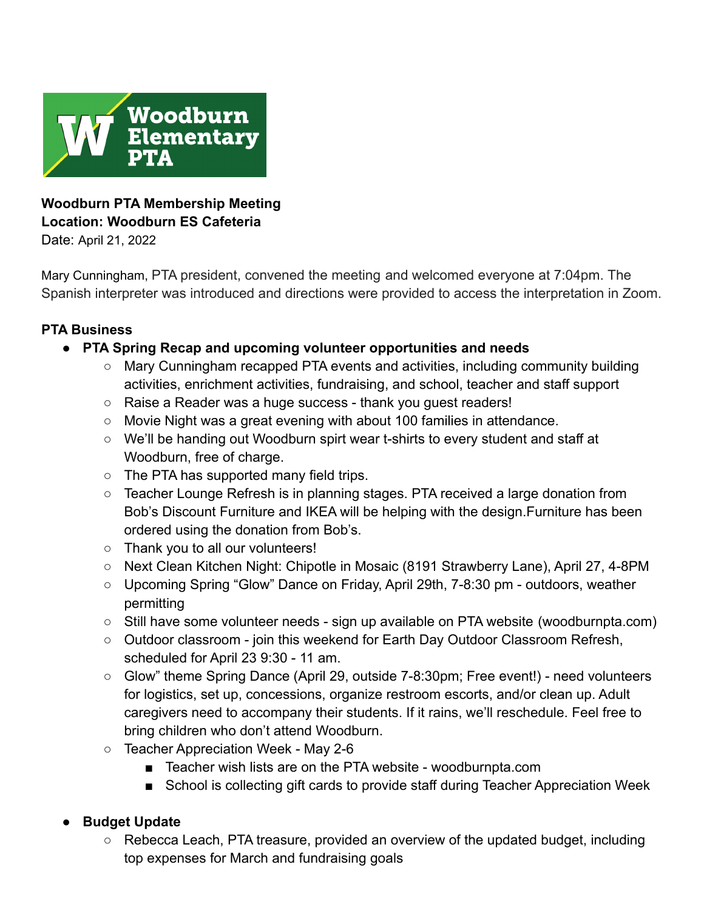

# **Woodburn PTA Membership Meeting Location: Woodburn ES Cafeteria**

Date: April 21, 2022

Mary Cunningham, PTA president, convened the meeting and welcomed everyone at 7:04pm. The Spanish interpreter was introduced and directions were provided to access the interpretation in Zoom.

### **PTA Business**

- **● PTA Spring Recap and upcoming volunteer opportunities and needs**
	- Mary Cunningham recapped PTA events and activities, including community building activities, enrichment activities, fundraising, and school, teacher and staff support
	- Raise a Reader was a huge success thank you guest readers!
	- $\circ$  Movie Night was a great evening with about 100 families in attendance.
	- We'll be handing out Woodburn spirt wear t-shirts to every student and staff at Woodburn, free of charge.
	- The PTA has supported many field trips.
	- Teacher Lounge Refresh is in planning stages. PTA received a large donation from Bob's Discount Furniture and IKEA will be helping with the design.Furniture has been ordered using the donation from Bob's.
	- Thank you to all our volunteers!
	- Next Clean Kitchen Night: Chipotle in Mosaic (8191 Strawberry Lane), April 27, 4-8PM
	- Upcoming Spring "Glow" Dance on Friday, April 29th, 7-8:30 pm outdoors, weather permitting
	- **○** Still have some volunteer needs sign up available on PTA website (woodburnpta.com)
	- Outdoor classroom join this weekend for Earth Day Outdoor Classroom Refresh, scheduled for April 23 9:30 - 11 am.
	- Glow" theme Spring Dance (April 29, outside 7-8:30pm; Free event!) need volunteers for logistics, set up, concessions, organize restroom escorts, and/or clean up. Adult caregivers need to accompany their students. If it rains, we'll reschedule. Feel free to bring children who don't attend Woodburn.
	- Teacher Appreciation Week May 2-6
		- Teacher wish lists are on the PTA website woodburnpta.com
		- School is collecting gift cards to provide staff during Teacher Appreciation Week

# **● Budget Update**

○ Rebecca Leach, PTA treasure, provided an overview of the updated budget, including top expenses for March and fundraising goals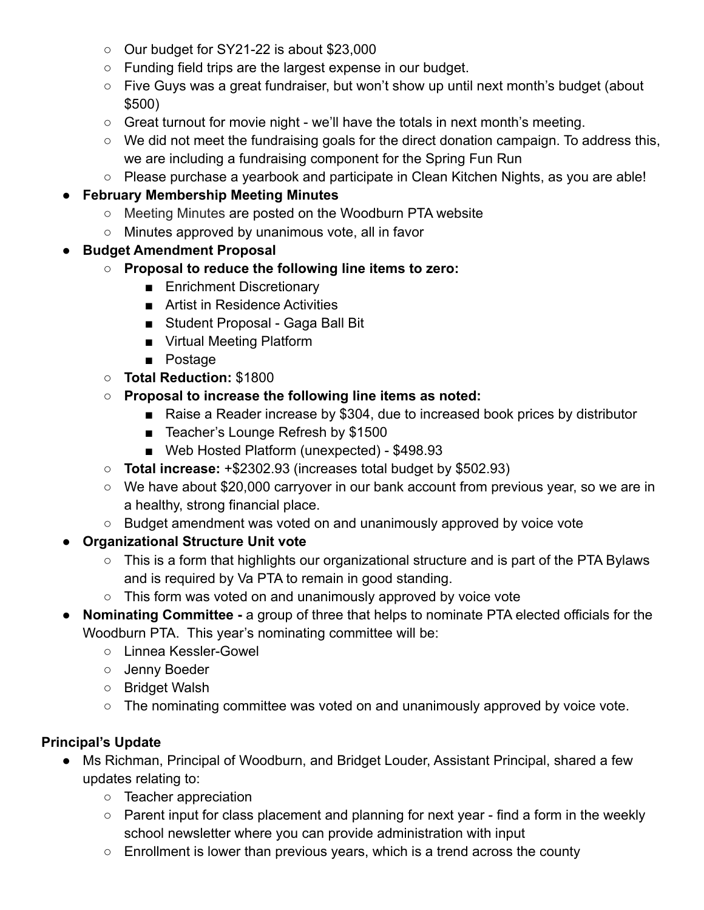- Our budget for SY21-22 is about \$23,000
- Funding field trips are the largest expense in our budget.
- Five Guys was a great fundraiser, but won't show up until next month's budget (about \$500)
- Great turnout for movie night we'll have the totals in next month's meeting.
- We did not meet the fundraising goals for the direct donation campaign. To address this, we are including a fundraising component for the Spring Fun Run
- Please purchase a yearbook and participate in Clean Kitchen Nights, as you are able!

# ● **February Membership Meeting Minutes**

- [Meeting Minutes](https://www.woodburnpta.com/wp-content/uploads/2022/02/21_11_18_Woodburn-PTA-Membership-Mtg-Minutes12244.pdf) are posted on the Woodburn PTA website
- Minutes approved by unanimous vote, all in favor
- **● Budget Amendment Proposal**
	- **○ Proposal to reduce the following line items to zero:**
		- Enrichment Discretionary
		- Artist in Residence Activities
		- Student Proposal Gaga Ball Bit
		- Virtual Meeting Platform
		- Postage
	- **Total Reduction:** \$1800
	- **○ Proposal to increase the following line items as noted:**
		- Raise a Reader increase by \$304, due to increased book prices by distributor
		- Teacher's Lounge Refresh by \$1500
		- Web Hosted Platform (unexpected) \$498.93
	- **Total increase:** +\$2302.93 (increases total budget by \$502.93)
	- We have about \$20,000 carryover in our bank account from previous year, so we are in a healthy, strong financial place.
	- Budget amendment was voted on and unanimously approved by voice vote
- **● Organizational Structure Unit vote**
	- This is a form that highlights our organizational structure and is part of the PTA Bylaws and is required by Va PTA to remain in good standing.
	- This form was voted on and unanimously approved by voice vote
- **● Nominating Committee -** a group of three that helps to nominate PTA elected officials for the Woodburn PTA. This year's nominating committee will be:
	- Linnea Kessler-Gowel
	- Jenny Boeder
	- Bridget Walsh
	- The nominating committee was voted on and unanimously approved by voice vote.

# **Principal's Update**

- Ms Richman, Principal of Woodburn, and Bridget Louder, Assistant Principal, shared a few updates relating to:
	- Teacher appreciation
	- Parent input for class placement and planning for next year find a form in the weekly school newsletter where you can provide administration with input
	- $\circ$  Enrollment is lower than previous years, which is a trend across the county